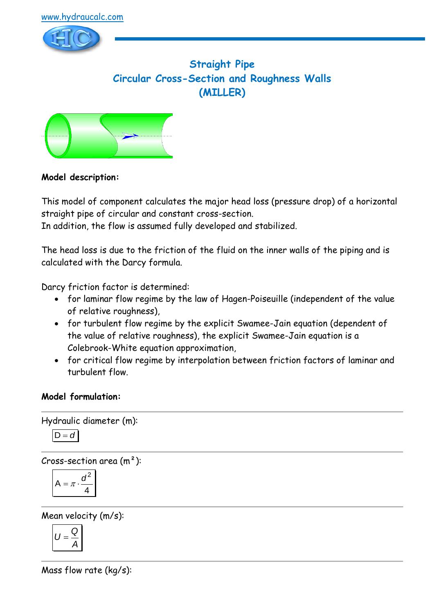

# **Straight Pipe Circular Cross-Section and Roughness Walls (MILLER)**



## **Model description:**

This model of component calculates the major head loss (pressure drop) of a horizontal straight pipe of circular and constant cross-section.

In addition, the flow is assumed fully developed and stabilized.

The head loss is due to the friction of the fluid on the inner walls of the piping and is calculated with the Darcy formula.

Darcy friction factor is determined:

- for laminar flow regime by the law of Hagen-Poiseuille (independent of the value of relative roughness),
- for turbulent flow regime by the explicit Swamee-Jain equation (dependent of the value of relative roughness), the explicit Swamee-Jain equation is a Colebrook-White equation approximation,
- for critical flow regime by interpolation between friction factors of laminar and turbulent flow.

## **Model formulation:**

Hydraulic diameter (m):  $D = d$ 

Cross-section area  $(m<sup>2</sup>)$ :

$$
A = \pi \cdot \frac{d^2}{4}
$$

Mean velocity (m/s):

$$
U=\frac{Q}{A}
$$

Mass flow rate (kg/s):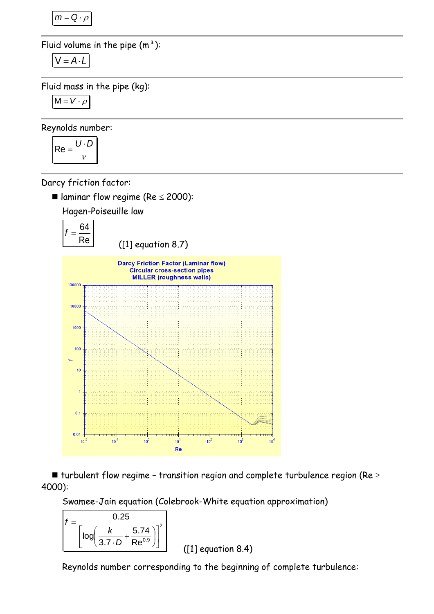$m = Q \cdot \rho$ 

Fluid volume in the pipe  $(m<sup>3</sup>)$ :

$$
V = A \cdot L
$$

Fluid mass in the pipe (kg):

$$
M = V \cdot \rho
$$

Reynolds number:

$$
Re = \frac{U \cdot D}{v}
$$

Darcy friction factor:

In laminar flow regime (Re  $\leq$  2000):

Hagen-Poiseuille law



 $\blacksquare$  turbulent flow regime - transition region and complete turbulence region (Re  $\geq$ 4000):

Swamee-Jain equation (Colebrook-White equation approximation)

$$
f = \frac{0.25}{\left[ \log \left( \frac{k}{3.7 \cdot D} + \frac{5.74}{Re^{0.9}} \right) \right]^2}
$$

([1] equation 8.4)

Reynolds number corresponding to the beginning of complete turbulence: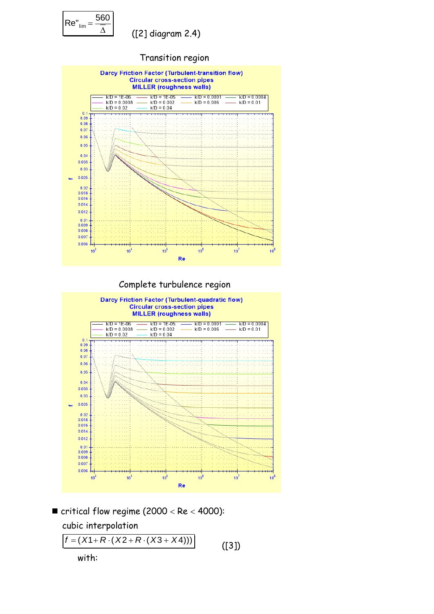

# ([2] diagram 2.4)







 $\blacksquare$  critical flow regime (2000 < Re < 4000):

 cubic interpolation  $f = (X1 + R \cdot (X2 + R \cdot (X3 + X4)))$ with:

([3])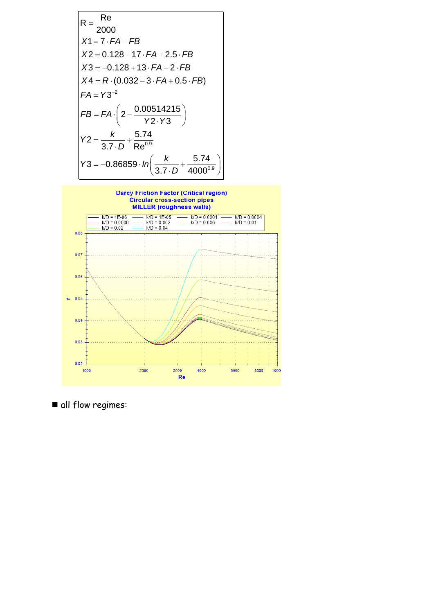



all flow regimes: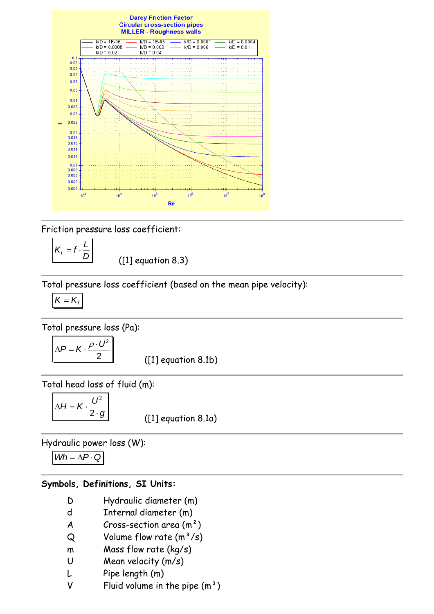

Friction pressure loss coefficient:

*D L*  $K_f = f$ .

([1] equation 8.3)

Total pressure loss coefficient (based on the mean pipe velocity):

$$
\overline{K=K_f}
$$

Total pressure loss (Pa):

$$
\Delta P = K \cdot \frac{\rho \cdot U^2}{2}
$$

([1] equation 8.1b)

Total head loss of fluid (m):

$$
\Delta H = K \cdot \frac{U^2}{2 \cdot g}
$$

([1] equation 8.1a)

Hydraulic power loss (W):

$$
Wh = \Delta P \cdot Q
$$

#### **Symbols, Definitions, SI Units:**

- D Hydraulic diameter (m)
- d Internal diameter (m)
- $A$  Cross-section area  $(m<sup>2</sup>)$
- $Q$  Volume flow rate  $(m^3/s)$
- m Mass flow rate (kg/s)
- U Mean velocity (m/s)
- L Pipe length (m)
- V Fluid volume in the pipe  $(m<sup>3</sup>)$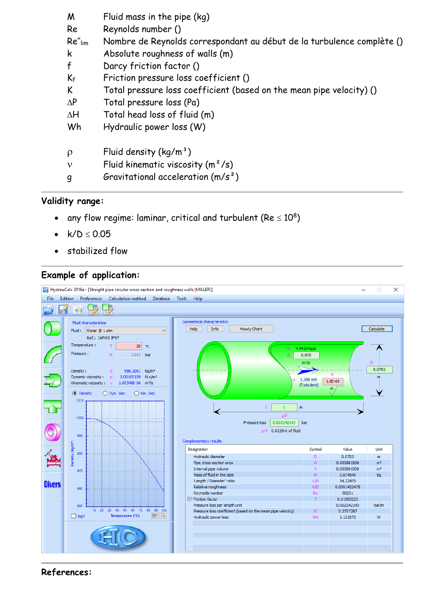| M            | Fluid mass in the pipe (kg)                                            |
|--------------|------------------------------------------------------------------------|
| Re           | Reynolds number ()                                                     |
| $Re''$ $lim$ | Nombre de Reynolds correspondant au début de la turbulence complète () |
| k            | Absolute roughness of walls (m)                                        |
| $\mathsf{f}$ | Darcy friction factor ()                                               |
| $K_f$        | Friction pressure loss coefficient ()                                  |
| K            | Total pressure loss coefficient (based on the mean pipe velocity) ()   |
| $\Delta P$   | Total pressure loss (Pa)                                               |
| $\Delta H$   | Total head loss of fluid (m)                                           |
| Wh           | Hydraulic power loss (W)                                               |
| $\rho$       | Fluid density $(kq/m^3)$                                               |
| $\mathbf{v}$ | Fluid kinematic viscosity $(m^2/s)$                                    |
| g            | Gravitational acceleration $(m/s^2)$                                   |

#### **Validity range:**

- any flow regime: laminar, critical and turbulent (Re  $\leq 10^8)$
- $k/D \le 0.05$
- stabilized flow

# **Example of application:**